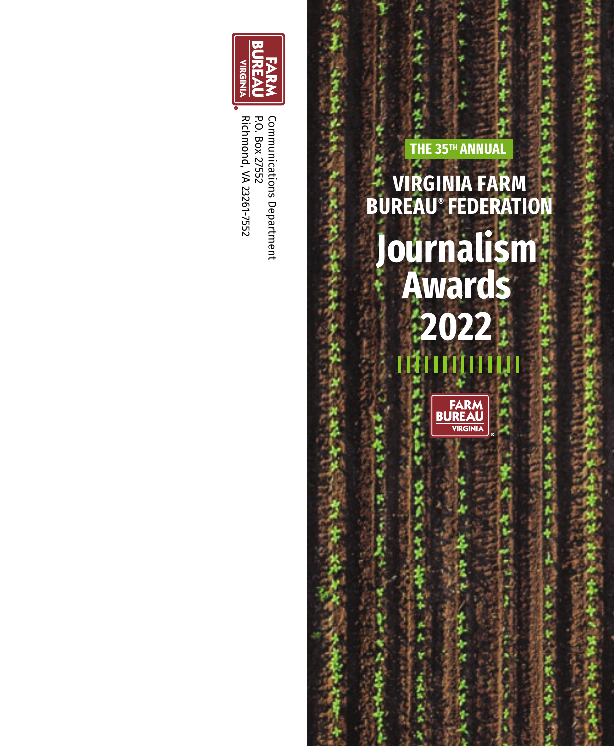

Communications Department<br>P.O. Box 27552 Richmond, VA 23261-7552 Communications DepartmentRichmond, VA 23261-7552 P.O. Box 27552

# **Journalism Awards 2022 VIRGINIA FARM BUREAU ® FEDERATION**

**THE 35<sup>TH</sup> ANNUAL**